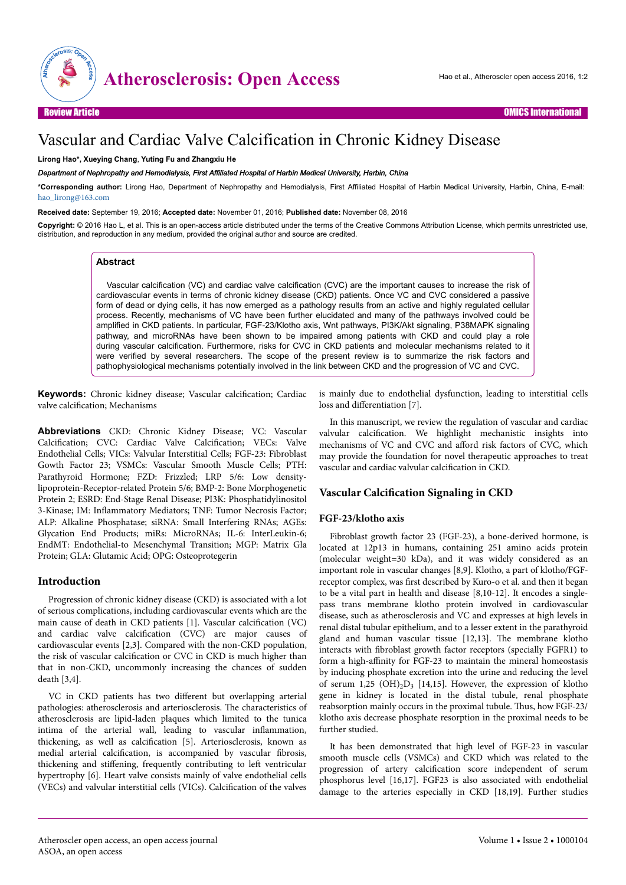

# Vascular and Cardiac Valve Calcification in Chronic Kidney Disease

**Lirong Hao\*, Xueying Chang**, **Yuting Fu and Zhangxiu He**

*Department of Nephropathy and Hemodialysis, First Affiliated Hospital of Harbin Medical University, Harbin, China*

**\*Corresponding author:** Lirong Hao, Department of Nephropathy and Hemodialysis, First Affiliated Hospital of Harbin Medical University, Harbin, China, E-mail: [hao\\_lirong@163.com](mailto:hao_lirong@163.com)

**Received date:** September 19, 2016; **Accepted date:** November 01, 2016; **Published date:** November 08, 2016

**Copyright:** © 2016 Hao L, et al. This is an open-access article distributed under the terms of the Creative Commons Attribution License, which permits unrestricted use, distribution, and reproduction in any medium, provided the original author and source are credited.

# **Abstract**

Vascular calcification (VC) and cardiac valve calcification (CVC) are the important causes to increase the risk of cardiovascular events in terms of chronic kidney disease (CKD) patients. Once VC and CVC considered a passive form of dead or dying cells, it has now emerged as a pathology results from an active and highly regulated cellular process. Recently, mechanisms of VC have been further elucidated and many of the pathways involved could be amplified in CKD patients. In particular, FGF-23/Klotho axis, Wnt pathways, PI3K/Akt signaling, P38MAPK signaling pathway, and microRNAs have been shown to be impaired among patients with CKD and could play a role during vascular calcification. Furthermore, risks for CVC in CKD patients and molecular mechanisms related to it were verified by several researchers. The scope of the present review is to summarize the risk factors and pathophysiological mechanisms potentially involved in the link between CKD and the progression of VC and CVC.

**Keywords:** Chronic kidney disease; Vascular calcification; Cardiac valve calcification; Mechanisms

**Abbreviations** CKD: Chronic Kidney Disease; VC: Vascular Calcification; CVC: Cardiac Valve Calcification; VECs: Valve Endothelial Cells; VICs: Valvular Interstitial Cells; FGF-23: Fibroblast Gowth Factor 23; VSMCs: Vascular Smooth Muscle Cells; PTH: Parathyroid Hormone; FZD: Frizzled; LRP 5/6: Low densitylipoprotein-Receptor-related Protein 5/6; BMP-2: Bone Morphogenetic Protein 2; ESRD: End-Stage Renal Disease; PI3K: Phosphatidylinositol 3-Kinase; IM: Inflammatory Mediators; TNF: Tumor Necrosis Factor; ALP: Alkaline Phosphatase; siRNA: Small Interfering RNAs; AGEs: Glycation End Products; miRs: MicroRNAs; IL-6: InterLeukin-6; EndMT: Endothelial-to Mesenchymal Transition; MGP: Matrix Gla Protein; GLA: Glutamic Acid; OPG: Osteoprotegerin

# **Introduction**

Progression of chronic kidney disease (CKD) is associated with a lot of serious complications, including cardiovascular events which are the main cause of death in CKD patients [1]. Vascular calcification (VC) and cardiac valve calcification (CVC) are major causes of cardiovascular events [2,3]. Compared with the non-CKD population, the risk of vascular calcification or CVC in CKD is much higher than that in non-CKD, uncommonly increasing the chances of sudden death [3,4].

VC in CKD patients has two different but overlapping arterial pathologies: atherosclerosis and arteriosclerosis. Нe characteristics of atherosclerosis are lipid-laden plaques which limited to the tunica intima of the arterial wall, leading to vascular inflammation, thickening, as well as calcification [5]. Arteriosclerosis, known as medial arterial calcification, is accompanied by vascular fibrosis, thickening and stiffening, frequently contributing to left ventricular hypertrophy [6]. Heart valve consists mainly of valve endothelial cells (VECs) and valvular interstitial cells (VICs). Calcification of the valves

is mainly due to endothelial dysfunction, leading to interstitial cells loss and differentiation [7].

In this manuscript, we review the regulation of vascular and cardiac valvular calcification. We highlight mechanistic insights into mechanisms of VC and CVC and afford risk factors of CVC, which may provide the foundation for novel therapeutic approaches to treat vascular and cardiac valvular calcification in CKD.

# **Vascular Calcification Signaling in CKD**

## **FGF-23/klotho axis**

Fibroblast growth factor 23 (FGF-23), a bone-derived hormone, is located at 12p13 in humans, containing 251 amino acids protein (molecular weight=30 kDa), and it was widely considered as an important role in vascular changes [8,9]. Klotho, a part of klotho/FGFreceptor complex, was first described by Kuro-o et al. and then it began to be a vital part in health and disease [8,10-12]. It encodes a singlepass trans membrane klotho protein involved in cardiovascular disease, such as atherosclerosis and VC and expresses at high levels in renal distal tubular epithelium, and to a lesser extent in the parathyroid gland and human vascular tissue [12,13]. Нe membrane klotho interacts with fibroblast growth factor receptors (specially FGFR1) to form a high-affinity for FGF-23 to maintain the mineral homeostasis by inducing phosphate excretion into the urine and reducing the level of serum 1,25  $(OH)_2D_3$  [14,15]. However, the expression of klotho gene in kidney is located in the distal tubule, renal phosphate reabsorption mainly occurs in the proximal tubule. Нus, how FGF-23/ klotho axis decrease phosphate resorption in the proximal needs to be further studied.

It has been demonstrated that high level of FGF-23 in vascular smooth muscle cells (VSMCs) and CKD which was related to the progression of artery calcification score independent of serum phosphorus level [16,17]. FGF23 is also associated with endothelial damage to the arteries especially in CKD [18,19]. Further studies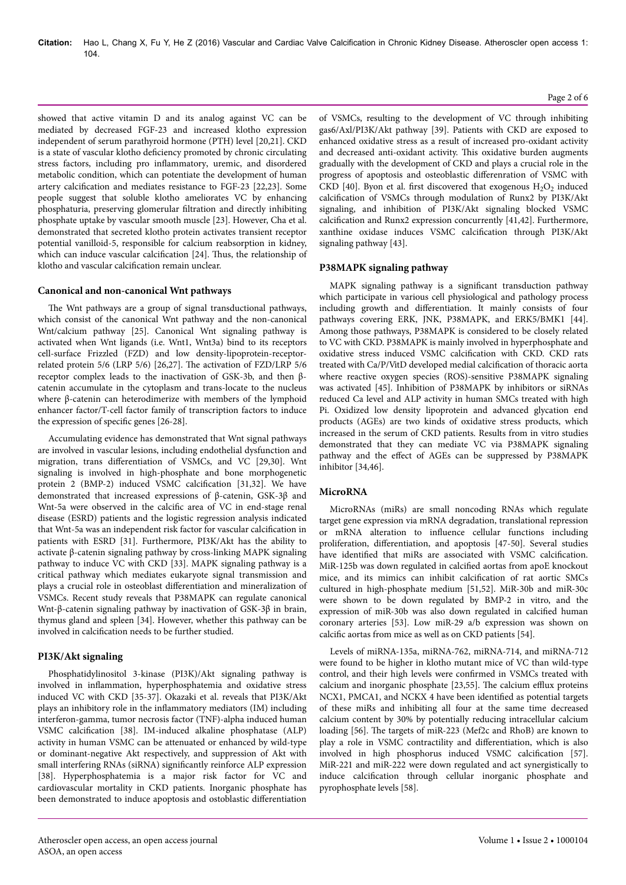showed that active vitamin D and its analog against VC can be mediated by decreased FGF-23 and increased klotho expression independent of serum parathyroid hormone (PTH) level [20,21]. CKD is a state of vascular klotho deficiency promoted by chronic circulating stress factors, including pro inflammatory, uremic, and disordered metabolic condition, which can potentiate the development of human artery calcification and mediates resistance to FGF-23 [22,23]. Some people suggest that soluble klotho ameliorates VC by enhancing phosphaturia, preserving glomerular filtration and directly inhibiting phosphate uptake by vascular smooth muscle [23]. However, Cha et al. demonstrated that secreted klotho protein activates transient receptor potential vanilloid-5, responsible for calcium reabsorption in kidney, which can induce vascular calcification [24]. Thus, the relationship of klotho and vascular calcification remain unclear.

## **Canonical and non-canonical Wnt pathways**

The Wnt pathways are a group of signal transductional pathways, which consist of the canonical Wnt pathway and the non-canonical Wnt/calcium pathway [25]. Canonical Wnt signaling pathway is activated when Wnt ligands (i.e. Wnt1, Wnt3a) bind to its receptors cell-surface Frizzled (FZD) and low density-lipoprotein-receptorrelated protein 5/6 (LRP 5/6) [26,27]. Нe activation of FZD/LRP 5/6 receptor complex leads to the inactivation of GSK-3b, and then βcatenin accumulate in the cytoplasm and trans-locate to the nucleus where β-catenin can heterodimerize with members of the lymphoid enhancer factor/T-cell factor family of transcription factors to induce the expression of specific genes [26-28].

Accumulating evidence has demonstrated that Wnt signal pathways are involved in vascular lesions, including endothelial dysfunction and migration, trans differentiation of VSMCs, and VC [29,30]. Wnt signaling is involved in high-phosphate and bone morphogenetic protein 2 (BMP-2) induced VSMC calcification [31,32]. We have demonstrated that increased expressions of β-catenin, GSK-3β and Wnt-5a were observed in the calcific area of VC in end-stage renal disease (ESRD) patients and the logistic regression analysis indicated that Wnt-5a was an independent risk factor for vascular calcification in patients with ESRD [31]. Furthermore, PI3K/Akt has the ability to activate β-catenin signaling pathway by cross-linking MAPK signaling pathway to induce VC with CKD [33]. MAPK signaling pathway is a critical pathway which mediates eukaryote signal transmission and plays a crucial role in osteoblast differentiation and mineralization of VSMCs. Recent study reveals that P38MAPK can regulate canonical Wnt-β-catenin signaling pathway by inactivation of GSK-3β in brain, thymus gland and spleen [34]. However, whether this pathway can be involved in calcification needs to be further studied.

# **PI3K/Akt signaling**

Phosphatidylinositol 3-kinase (PI3K)/Akt signaling pathway is involved in inflammation, hyperphosphatemia and oxidative stress induced VC with CKD [35-37]. Okazaki et al. reveals that PI3K/Akt plays an inhibitory role in the inflammatory mediators (IM) including interferon-gamma, tumor necrosis factor (TNF)-alpha induced human VSMC calcification [38]. IM-induced alkaline phosphatase (ALP) activity in human VSMC can be attenuated or enhanced by wild-type or dominant-negative Akt respectively, and suppression of Akt with small interfering RNAs (siRNA) significantly reinforce ALP expression [38]. Hyperphosphatemia is a major risk factor for VC and cardiovascular mortality in CKD patients. Inorganic phosphate has been demonstrated to induce apoptosis and ostoblastic differentiation

of VSMCs, resulting to the development of VC through inhibiting gas6/Axl/PI3K/Akt pathway [39]. Patients with CKD are exposed to enhanced oxidative stress as a result of increased pro-oxidant activity and decreased anti-oxidant activity. Нis oxidative burden augments gradually with the development of CKD and plays a crucial role in the progress of apoptosis and osteoblastic differenration of VSMC with CKD [40]. Byon et al. first discovered that exogenous  $H_2O_2$  induced calcification of VSMCs through modulation of Runx2 by PI3K/Akt signaling, and inhibition of PI3K/Akt signaling blocked VSMC calcification and Runx2 expression concurrently [41,42]. Furthermore, xanthine oxidase induces VSMC calcification through PI3K/Akt signaling pathway [43].

## **P38MAPK signaling pathway**

MAPK signaling pathway is a significant transduction pathway which participate in various cell physiological and pathology process including growth and differentiation. It mainly consists of four pathways covering ERK, JNK, P38MAPK, and ERK5/BMK1 [44]. Among those pathways, P38MAPK is considered to be closely related to VC with CKD. P38MAPK is mainly involved in hyperphosphate and oxidative stress induced VSMC calcification with CKD. CKD rats treated with Ca/P/VitD developed medial calcification of thoracic aorta where reactive oxygen species (ROS)-sensitive P38MAPK signaling was activated [45]. Inhibition of P38MAPK by inhibitors or siRNAs reduced Ca level and ALP activity in human SMCs treated with high Pi. Oxidized low density lipoprotein and advanced glycation end products (AGEs) are two kinds of oxidative stress products, which increased in the serum of CKD patients. Results from in vitro studies demonstrated that they can mediate VC via P38MAPK signaling pathway and the effect of AGEs can be suppressed by P38MAPK inhibitor [34,46].

# **MicroRNA**

MicroRNAs (miRs) are small noncoding RNAs which regulate target gene expression via mRNA degradation, translational repression or mRNA alteration to influence cellular functions including proliferation, differentiation, and apoptosis [47-50]. Several studies have identified that miRs are associated with VSMC calcification. MiR-125b was down regulated in calcified aortas from apoE knockout mice, and its mimics can inhibit calcification of rat aortic SMCs cultured in high-phosphate medium [51,52]. MiR-30b and miR-30c were shown to be down regulated by BMP-2 in vitro, and the expression of miR-30b was also down regulated in calcified human coronary arteries [53]. Low miR-29 a/b expression was shown on calcific aortas from mice as well as on CKD patients [54].

Levels of miRNA-135a, miRNA-762, miRNA-714, and miRNA-712 were found to be higher in klotho mutant mice of VC than wild-type control, and their high levels were confirmed in VSMCs treated with calcium and inorganic phosphate [23,55]. Нe calcium efflux proteins NCX1, PMCA1, and NCKX 4 have been identified as potential targets of these miRs and inhibiting all four at the same time decreased calcium content by 30% by potentially reducing intracellular calcium loading [56]. Нe targets of miR-223 (Mef2c and RhoB) are known to play a role in VSMC contractility and differentiation, which is also involved in high phosphorus induced VSMC calcification [57]. MiR-221 and miR-222 were down regulated and act synergistically to induce calcification through cellular inorganic phosphate and pyrophosphate levels [58].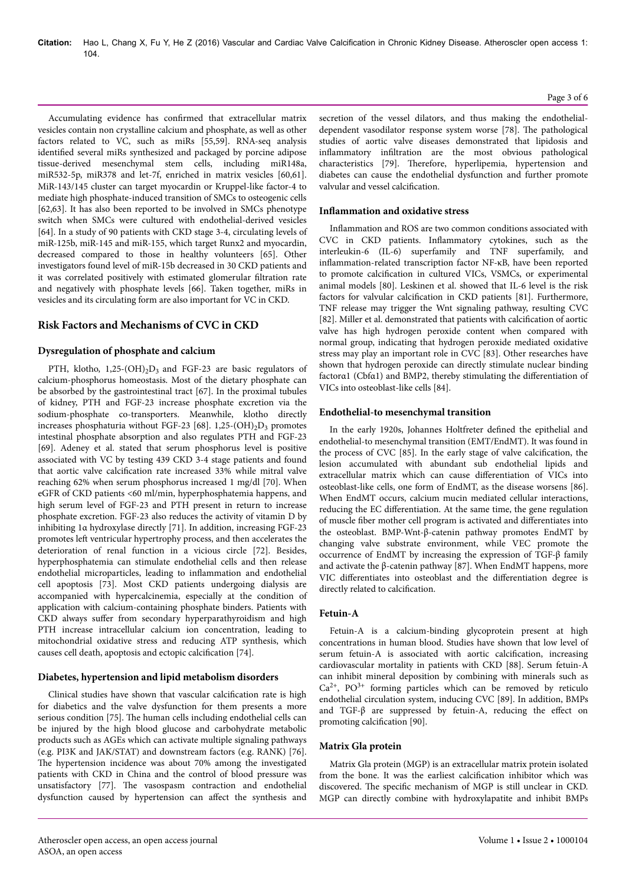Accumulating evidence has confirmed that extracellular matrix vesicles contain non crystalline calcium and phosphate, as well as other factors related to VC, such as miRs [55,59]. RNA-seq analysis identified several miRs synthesized and packaged by porcine adipose tissue-derived mesenchymal stem cells, including miR148a, miR532-5p, miR378 and let-7f, enriched in matrix vesicles [60,61]. MiR-143/145 cluster can target myocardin or Kruppel-like factor-4 to mediate high phosphate-induced transition of SMCs to osteogenic cells [62,63]. It has also been reported to be involved in SMCs phenotype switch when SMCs were cultured with endothelial-derived vesicles [64]. In a study of 90 patients with CKD stage 3-4, circulating levels of miR-125b, miR-145 and miR-155, which target Runx2 and myocardin, decreased compared to those in healthy volunteers [65]. Other investigators found level of miR-15b decreased in 30 CKD patients and it was correlated positively with estimated glomerular filtration rate and negatively with phosphate levels [66]. Taken together, miRs in vesicles and its circulating form are also important for VC in CKD.

# **Risk Factors and Mechanisms of CVC in CKD**

# **Dysregulation of phosphate and calcium**

PTH, klotho,  $1,25-(OH)_{2}D_{3}$  and FGF-23 are basic regulators of calcium-phosphorus homeostasis. Most of the dietary phosphate can be absorbed by the gastrointestinal tract [67]. In the proximal tubules of kidney, PTH and FGF-23 increase phosphate excretion via the sodium-phosphate co-transporters. Meanwhile, klotho directly increases phosphaturia without FGF-23 [68]. 1,25-(OH)<sub>2</sub>D<sub>3</sub> promotes intestinal phosphate absorption and also regulates PTH and FGF-23 [69]. Adeney et al. stated that serum phosphorus level is positive associated with VC by testing 439 CKD 3-4 stage patients and found that aortic valve calcification rate increased 33% while mitral valve reaching 62% when serum phosphorus increased 1 mg/dl [70]. When eGFR of CKD patients <60 ml/min, hyperphosphatemia happens, and high serum level of FGF-23 and PTH present in return to increase phosphate excretion. FGF-23 also reduces the activity of vitamin D by inhibiting 1α hydroxylase directly [71]. In addition, increasing FGF-23 promotes left ventricular hypertrophy process, and then accelerates the deterioration of renal function in a vicious circle [72]. Besides, hyperphosphatemia can stimulate endothelial cells and then release endothelial microparticles, leading to inflammation and endothelial cell apoptosis [73]. Most CKD patients undergoing dialysis are accompanied with hypercalcinemia, especially at the condition of application with calcium-containing phosphate binders. Patients with CKD always suffer from secondary hyperparathyroidism and high PTH increase intracellular calcium ion concentration, leading to mitochondrial oxidative stress and reducing ATP synthesis, which causes cell death, apoptosis and ectopic calcification [74].

## **Diabetes, hypertension and lipid metabolism disorders**

Clinical studies have shown that vascular calcification rate is high for diabetics and the valve dysfunction for them presents a more serious condition [75]. Нe human cells including endothelial cells can be injured by the high blood glucose and carbohydrate metabolic products such as AGEs which can activate multiple signaling pathways (e.g. PI3K and JAK/STAT) and downstream factors (e.g. RANK) [76]. The hypertension incidence was about 70% among the investigated patients with CKD in China and the control of blood pressure was unsatisfactory [77]. Нe vasospasm contraction and endothelial dysfunction caused by hypertension can affect the synthesis and

secretion of the vessel dilators, and thus making the endothelialdependent vasodilator response system worse [78]. Нe pathological studies of aortic valve diseases demonstrated that lipidosis and inflammatory infiltration are the most obvious pathological characteristics [79]. Нerefore, hyperlipemia, hypertension and diabetes can cause the endothelial dysfunction and further promote valvular and vessel calcification.

#### **Inflammation and oxidative stress**

Inflammation and ROS are two common conditions associated with CVC in CKD patients. Inflammatory cytokines, such as the interleukin-6 (IL-6) superfamily and TNF superfamily, and inflammation-related transcription factor NF-κB, have been reported to promote calcification in cultured VICs, VSMCs, or experimental animal models [80]. Leskinen et al. showed that IL-6 level is the risk factors for valvular calcification in CKD patients [81]. Furthermore, TNF release may trigger the Wnt signaling pathway, resulting CVC [82]. Miller et al. demonstrated that patients with calcification of aortic valve has high hydrogen peroxide content when compared with normal group, indicating that hydrogen peroxide mediated oxidative stress may play an important role in CVC [83]. Other researches have shown that hydrogen peroxide can directly stimulate nuclear binding factorα1 (Cbfα1) and BMP2, thereby stimulating the differentiation of VICs into osteoblast-like cells [84].

#### **Endothelial-to mesenchymal transition**

In the early 1920s, Johannes Holtfreter defined the epithelial and endothelial-to mesenchymal transition (EMT/EndMT). It was found in the process of CVC [85]. In the early stage of valve calcification, the lesion accumulated with abundant sub endothelial lipids and extracellular matrix which can cause differentiation of VICs into osteoblast-like cells, one form of EndMT, as the disease worsens [86]. When EndMT occurs, calcium mucin mediated cellular interactions, reducing the EC differentiation. At the same time, the gene regulation of muscle fiber mother cell program is activated and differentiates into the osteoblast. BMP-Wnt-β-catenin pathway promotes EndMT by changing valve substrate environment, while VEC promote the occurrence of EndMT by increasing the expression of TGF-β family and activate the β-catenin pathway [87]. When EndMT happens, more VIC differentiates into osteoblast and the differentiation degree is directly related to calcification.

## **Fetuin-A**

Fetuin-A is a calcium-binding glycoprotein present at high concentrations in human blood. Studies have shown that low level of serum fetuin-A is associated with aortic calcification, increasing cardiovascular mortality in patients with CKD [88]. Serum fetuin-A can inhibit mineral deposition by combining with minerals such as  $Ca^{2+}$ , PO<sup>3+</sup> forming particles which can be removed by reticulo endothelial circulation system, inducing CVC [89]. In addition, BMPs and TGF- $\beta$  are suppressed by fetuin-A, reducing the effect on promoting calcification [90].

### **Matrix Gla protein**

Matrix Gla protein (MGP) is an extracellular matrix protein isolated from the bone. It was the earliest calcification inhibitor which was discovered. Нe specific mechanism of MGP is still unclear in CKD. MGP can directly combine with hydroxylapatite and inhibit BMPs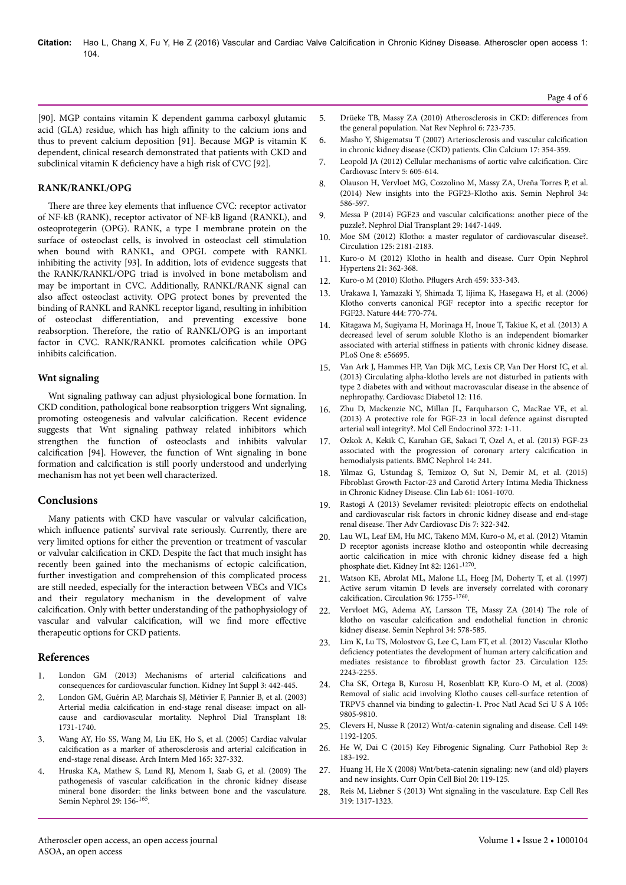[90]. MGP contains vitamin K dependent gamma carboxyl glutamic acid (GLA) residue, which has high affinity to the calcium ions and thus to prevent calcium deposition [91]. Because MGP is vitamin K dependent, clinical research demonstrated that patients with CKD and subclinical vitamin K deficiency have a high risk of CVC [92].

## **RANK/RANKL/OPG**

There are three key elements that influence CVC: receptor activator of NF-kB (RANK), receptor activator of NF-kB ligand (RANKL), and osteoprotegerin (OPG). RANK, a type I membrane protein on the surface of osteoclast cells, is involved in osteoclast cell stimulation when bound with RANKL, and OPGL compete with RANKL inhibiting the activity [93]. In addition, lots of evidence suggests that the RANK/RANKL/OPG triad is involved in bone metabolism and may be important in CVC. Additionally, RANKL/RANK signal can also affect osteoclast activity. OPG protect bones by prevented the binding of RANKL and RANKL receptor ligand, resulting in inhibition of osteoclast differentiation, and preventing excessive bone reabsorption. Нerefore, the ratio of RANKL/OPG is an important factor in CVC. RANK/RANKL promotes calcification while OPG inhibits calcification.

## **Wnt signaling**

Wnt signaling pathway can adjust physiological bone formation. In CKD condition, pathological bone reabsorption triggers Wnt signaling, promoting osteogenesis and valvular calcification. Recent evidence suggests that Wnt signaling pathway related inhibitors which strengthen the function of osteoclasts and inhibits valvular calcification [94]. However, the function of Wnt signaling in bone formation and calcification is still poorly understood and underlying mechanism has not yet been well characterized.

# **Conclusions**

Many patients with CKD have vascular or valvular calcification, which influence patients' survival rate seriously. Currently, there are very limited options for either the prevention or treatment of vascular or valvular calcification in CKD. Despite the fact that much insight has recently been gained into the mechanisms of ectopic calcification, further investigation and comprehension of this complicated process are still needed, especially for the interaction between VECs and VICs and their regulatory mechanism in the development of valve calcification. Only with better understanding of the pathophysiology of vascular and valvular calcification, will we find more effective therapeutic options for CKD patients.

# **References**

- 1. [London GM \(2013\) Mechanisms of arterial](https://dx.doi.org/10.1038/kisup.2013.92) calcifications and [consequences for cardiovascular function. Kidney Int Suppl 3: 442-445.](https://dx.doi.org/10.1038/kisup.2013.92)
- 2. [London GM, Guérin AP, Marchais SJ, Métivier F, Pannier B, et al. \(2003\)](https://dx.doi.org/10.1093/ndt/gfg414) Arterial media calcification [in end-stage renal disease: impact on all](https://dx.doi.org/10.1093/ndt/gfg414)[cause and cardiovascular mortality. Nephrol Dial Transplant 18:](https://dx.doi.org/10.1093/ndt/gfg414) [1731-1740.](https://dx.doi.org/10.1093/ndt/gfg414)
- 3. [Wang AY, Ho SS, Wang M, Liu EK, Ho S, et al. \(2005\) Cardiac valvular](http://dx.doi.org/10.1001/archinte.165.3.327) calcification [as a marker of atherosclerosis and arterial](http://dx.doi.org/10.1001/archinte.165.3.327) calcification in [end-stage renal disease. Arch Intern Med 165: 327-332.](http://dx.doi.org/10.1001/archinte.165.3.327)
- 4. [Hruska KA, Mathew S, Lund RJ, Menom I, Saab G, et al. \(2009\)](http://dx.doi.org/10.1016/j.semnephrol.2009.01.008) Нe pathogenesis of vascular calcification [in the chronic kidney disease](http://dx.doi.org/10.1016/j.semnephrol.2009.01.008) [mineral bone disorder: the links between bone and the vasculature.](http://dx.doi.org/10.1016/j.semnephrol.2009.01.008) [Semin Nephrol 29: 156-](http://dx.doi.org/10.1016/j.semnephrol.2009.01.008)<sup>165</sup> .
- 5. [Drüeke TB, Massy ZA \(2010\) Atherosclerosis in CKD:](http://dx.doi.org/10.1038/nrneph.2010.143) differences from [the general population. Nat Rev Nephrol 6: 723-735.](http://dx.doi.org/10.1038/nrneph.2010.143)
- 6. [Masho Y, Shigematsu T \(2007\) Arteriosclerosis and vascular](http://dx.doi.org/CliCa0703354359) calcification [in chronic kidney disease \(CKD\) patients. Clin Calcium 17: 354-359.](http://dx.doi.org/CliCa0703354359)
- 7. [Leopold JA \(2012\) Cellular mechanisms of aortic valve](http://dx.doi.org/10.1161/CIRCINTERVENTIONS.112.971028) calcification. Circ [Cardiovasc Interv 5: 605-614.](http://dx.doi.org/10.1161/CIRCINTERVENTIONS.112.971028)
- 8. [Olauson H, Vervloet MG, Cozzolino M, Massy ZA, Ureña Torres P, et al.](http://dx.doi.org/10.1016/j.semnephrol.2014.09.005) [\(2014\) New insights into the FGF23-Klotho axis. Semin Nephrol 34:](http://dx.doi.org/10.1016/j.semnephrol.2014.09.005) [586-597.](http://dx.doi.org/10.1016/j.semnephrol.2014.09.005)
- 9. [Messa P \(2014\) FGF23 and vascular](http://dx.doi.org/10.1093/ndt/gfu074) calcifications: another piece of the [puzzle?. Nephrol Dial Transplant 29: 1447-1449.](http://dx.doi.org/10.1093/ndt/gfu074)
- 10. [Moe SM \(2012\) Klotho: a master regulator of cardiovascular disease?.](http://dx.doi.org/10.1161/CIRCULATIONAHA.112.104828) [Circulation 125: 2181-2183.](http://dx.doi.org/10.1161/CIRCULATIONAHA.112.104828)
- 11. [Kuro-o M \(2012\) Klotho in health and disease. Curr Opin Nephrol](http://dx.doi.org/10.1097/MNH.0b013e32835422ad) [Hypertens 21: 362-368.](http://dx.doi.org/10.1097/MNH.0b013e32835422ad)
- 12. [Kuro-o M \(2010\) Klotho.](http://dx.doi.org/10.1007/s00424-009-0722-7) Pflugers Arch 459: 333-343.
- 13. [Urakawa I, Yamazaki Y, Shimada T, Iijima K, Hasegawa H, et al. \(2006\)](http://dx.doi.org/10.1038/nature05315) [Klotho converts canonical FGF receptor into a](http://dx.doi.org/10.1038/nature05315) specific receptor for [FGF23. Nature 444: 770-774.](http://dx.doi.org/10.1038/nature05315)
- 14. [Kitagawa M, Sugiyama H, Morinaga H, Inoue T, Takiue K, et al. \(2013\) A](http://dx.doi.org/10.1371/journal.pone.0056695) [decreased level of serum soluble Klotho is an independent biomarker](http://dx.doi.org/10.1371/journal.pone.0056695) associated with arterial stiffness [in patients with chronic kidney disease.](http://dx.doi.org/10.1371/journal.pone.0056695) [PLoS One 8: e56695.](http://dx.doi.org/10.1371/journal.pone.0056695)
- 15. [Van Ark J, Hammes HP, Van Dijk MC, Lexis CP, Van Der Horst IC, et al.](http://dx.doi.org/10.1186/1475-2840-12-116) [\(2013\) Circulating alpha-klotho levels are not disturbed in patients with](http://dx.doi.org/10.1186/1475-2840-12-116) [type 2 diabetes with and without macrovascular disease in the absence of](http://dx.doi.org/10.1186/1475-2840-12-116) [nephropathy. Cardiovasc Diabetol 12: 116.](http://dx.doi.org/10.1186/1475-2840-12-116)
- 16. [Zhu D, Mackenzie NC, Millan JL, Farquharson C, MacRae VE, et al.](http://dx.doi.org/%2010.1016/j.mce.2013.03.008) [\(2013\) A protective role for FGF-23 in local defence against disrupted](http://dx.doi.org/%2010.1016/j.mce.2013.03.008) [arterial wall integrity?. Mol Cell Endocrinol 372: 1-11.](http://dx.doi.org/%2010.1016/j.mce.2013.03.008)
- 17. [Ozkok A, Kekik C, Karahan GE, Sakaci T, Ozel A, et al. \(2013\) FGF-23](http://dx.doi.org/10.1186/1471-2369-14-241) [associated with the progression of coronary artery](http://dx.doi.org/10.1186/1471-2369-14-241) calcification in [hemodialysis patients. BMC Nephrol 14: 241.](http://dx.doi.org/10.1186/1471-2369-14-241)
- 18. Yilmaz G, Ustundag S, Temizoz O, Sut N, Demir M, et al. (2015) Fibroblast Growth Factor-23 and Carotid Artery Intima Media Thickness in Chronic Kidney Disease. Clin Lab 61: 1061-1070.
- 19. [Rastogi A \(2013\) Sevelamer revisited: pleiotropic](http://dx.doi.org/10.1177/1753944713513061) effects on endothelial [and cardiovascular risk factors in chronic kidney disease and end-stage](http://dx.doi.org/10.1177/1753944713513061) renal disease. Нer [Adv Cardiovasc Dis 7: 322-342.](http://dx.doi.org/10.1177/1753944713513061)
- 20. [Lau WL, Leaf EM, Hu MC, Takeno MM, Kuro-o M, et al. \(2012\) Vitamin](http://dx.doi.org/%2010.1038/ki.2012.322) [D receptor agonists increase klotho and osteopontin while decreasing](http://dx.doi.org/%2010.1038/ki.2012.322) aortic calcification [in mice with chronic kidney disease fed a high](http://dx.doi.org/%2010.1038/ki.2012.322) [phosphate diet. Kidney Int 82: 1261-](http://dx.doi.org/%2010.1038/ki.2012.322)<sup>1270</sup>.
- 21. [Watson KE, Abrolat ML, Malone LL, Hoeg JM, Doherty T, et al. \(1997\)](http://dx.doi.org/10.1161/01.CIR.96.6.1755) [Active serum vitamin D levels are inversely correlated with coronary](http://dx.doi.org/10.1161/01.CIR.96.6.1755) calcification. [Circulation 96: 1755-](http://dx.doi.org/10.1161/01.CIR.96.6.1755)<sup>1760</sup> .
- 22. [Vervloet MG, Adema AY, Larsson TE, Massy ZA \(2014\)](http://dx.doi.org/10.1016/j.semnephrol.2014.09.003) Нe role of klotho on vascular calcification [and endothelial function in chronic](http://dx.doi.org/10.1016/j.semnephrol.2014.09.003) [kidney disease. Semin Nephrol 34: 578-585.](http://dx.doi.org/10.1016/j.semnephrol.2014.09.003)
- 23. [Lim K, Lu TS, Molostvov G, Lee C, Lam FT, et al. \(2012\) Vascular Klotho](http://dx.doi.org/10.1161/CIRCULATIONAHA.111.053405) deficiency [potentiates the development of human artery](http://dx.doi.org/10.1161/CIRCULATIONAHA.111.053405) calcification and mediates resistance to fibroblast [growth factor 23. Circulation 125:](http://dx.doi.org/10.1161/CIRCULATIONAHA.111.053405) [2243-2255.](http://dx.doi.org/10.1161/CIRCULATIONAHA.111.053405)
- 24. [Cha SK, Ortega B, Kurosu H, Rosenblatt KP, Kuro-O M, et al. \(2008\)](http://dx.doi.org/10.1073/pnas.0803223105) [Removal of sialic acid involving Klotho causes cell-surface retention of](http://dx.doi.org/10.1073/pnas.0803223105) [TRPV5 channel via binding to galectin-1. Proc Natl Acad Sci U S A 105:](http://dx.doi.org/10.1073/pnas.0803223105) [9805-9810.](http://dx.doi.org/10.1073/pnas.0803223105)
- 25. [Clevers H, Nusse R \(2012\) Wnt/α-catenin signaling and disease. Cell 149:](http://dx.doi.org/10.1016/j.cell.2012.05.012) [1192-1205.](http://dx.doi.org/10.1016/j.cell.2012.05.012)
- 26. [He W, Dai C \(2015\) Key Fibrogenic Signaling. Curr Pathobiol Rep 3:](http://dx.doi.org/%2010.1007/s40139-015-0077-z) [183-192.](http://dx.doi.org/%2010.1007/s40139-015-0077-z)
- 27. [Huang H, He X \(2008\) Wnt/beta-catenin signaling: new \(and old\) players](http://dx.doi.org/10.1016/j.ceb.2008.01.009) [and new insights. Curr Opin Cell Biol 20: 119-125.](http://dx.doi.org/10.1016/j.ceb.2008.01.009)
- 28. [Reis M, Liebner S \(2013\) Wnt signaling in the vasculature. Exp Cell Res](http://dx.doi.org/10.1016/j.yexcr.2012.12.023) [319: 1317-1323.](http://dx.doi.org/10.1016/j.yexcr.2012.12.023)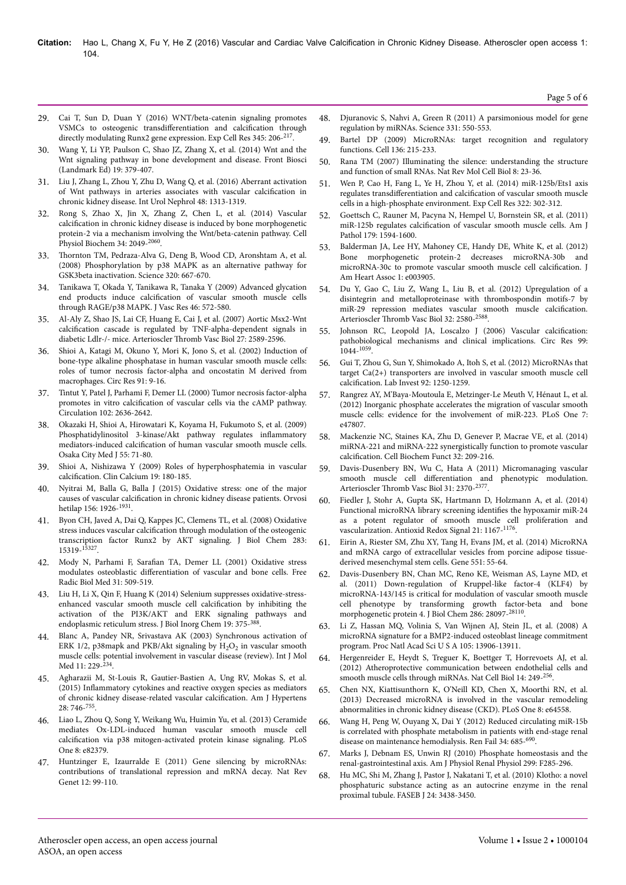- 29. Cai T, Sun D, Duan Y (2016) WNT/beta-catenin signaling promotes VSMCs to osteogenic transdifferentiation and calcification through directly modulating Runx2 gene expression. Exp Cell Res 345: 206-217.
- 30. [Wang Y, Li YP, Paulson C, Shao JZ, Zhang X, et al. \(2014\) Wnt and the](http://dx.doi.org/10.2741/4214) [Wnt signaling pathway in bone development and disease. Front Biosci](http://dx.doi.org/10.2741/4214) [\(Landmark Ed\) 19: 379-407](http://dx.doi.org/10.2741/4214).
- 31. [Liu J, Zhang L, Zhou Y, Zhu D, Wang Q, et al. \(2016\) Aberrant activation](http://dx.doi.org/10.1007/s11255-016-1291-2) [of Wnt pathways in arteries associates with vascular](http://dx.doi.org/10.1007/s11255-016-1291-2) calcification in [chronic kidney disease. Int Urol Nephrol 48: 1313-1319.](http://dx.doi.org/10.1007/s11255-016-1291-2)
- 32. [Rong S, Zhao X, Jin X, Zhang Z, Chen L, et al. \(2014\) Vascular](http://dx.doi.org/10.1159/000366400) calcification [in chronic kidney disease is induced by bone morphogenetic](http://dx.doi.org/10.1159/000366400) [protein-2 via a mechanism involving the Wnt/beta-catenin pathway. Cell](http://dx.doi.org/10.1159/000366400) [Physiol Biochem 34: 2049-](http://dx.doi.org/10.1159/000366400)<sup>2060</sup> .
- Thornton [TM, Pedraza-Alva G, Deng B, Wood CD, Aronshtam A, et al.](http://dx.doi.org/10.1126/science.1156037) [\(2008\) Phosphorylation by p38 MAPK as an alternative pathway for](http://dx.doi.org/10.1126/science.1156037) [GSK3beta inactivation. Science 320: 667-670.](http://dx.doi.org/10.1126/science.1156037)
- 34. [Tanikawa T, Okada Y, Tanikawa R, Tanaka Y \(2009\) Advanced glycation](http://dx.doi.org/10.1159/000226225) end products induce calcification [of vascular smooth muscle cells](http://dx.doi.org/10.1159/000226225) [through RAGE/p38 MAPK. J Vasc Res 46: 572-580.](http://dx.doi.org/10.1159/000226225)
- 35. [Al-Aly Z, Shao JS, Lai CF, Huang E, Cai J, et al. \(2007\) Aortic Msx2-Wnt](http://dx.doi.org/10.1161/ATVBAHA.107.153668) calcification [cascade is regulated by TNF-alpha-dependent signals in](http://dx.doi.org/10.1161/ATVBAHA.107.153668) [diabetic Ldlr-/- mice. Arterioscler](http://dx.doi.org/10.1161/ATVBAHA.107.153668) Нromb Vasc Biol 27: 2589-2596.
- 36. [Shioi A, Katagi M, Okuno Y, Mori K, Jono S, et al. \(2002\) Induction of](http://dx.doi.org/10.1161/01.RES.0000026421.61398.F2) [bone-type alkaline phosphatase in human vascular smooth muscle cells:](http://dx.doi.org/10.1161/01.RES.0000026421.61398.F2) [roles of tumor necrosis factor-alpha and oncostatin M derived from](http://dx.doi.org/10.1161/01.RES.0000026421.61398.F2) [macrophages. Circ Res 91: 9-16.](http://dx.doi.org/10.1161/01.RES.0000026421.61398.F2)
- 37. [Tintut Y, Patel J, Parhami F, Demer LL \(2000\) Tumor necrosis factor-alpha](http://dx.doi.org/10.1161/01.CIR.102.21.2636) promotes in vitro calcification [of vascular cells via the cAMP pathway.](http://dx.doi.org/10.1161/01.CIR.102.21.2636) [Circulation 102: 2636-2642](http://dx.doi.org/10.1161/01.CIR.102.21.2636).
- 38. Okazaki H, Shioi A, Hirowatari K, Koyama H, Fukumoto S, et al. (2009) Phosphatidylinositol 3-kinase/Akt pathway regulates inflammatory mediators-induced calcification of human vascular smooth muscle cells. Osaka City Med J 55: 71-80.
- 39. [Shioi A, Nishizawa Y \(2009\) Roles of hyperphosphatemia in vascular](http://dx.doi.org/CliCa0902180185) calcification. [Clin Calcium 19: 180-185.](http://dx.doi.org/CliCa0902180185)
- 40. [Nyitrai M, Balla G, Balla J \(2015\) Oxidative stress: one of the major](http://dx.doi.org/10.1556/650.2015.30299) causes of vascular calcification [in chronic kidney disease patients. Orvosi](http://dx.doi.org/10.1556/650.2015.30299) [hetilap 156: 1926-](http://dx.doi.org/10.1556/650.2015.30299)<sup>1931</sup>.
- 41. [Byon CH, Javed A, Dai Q, Kappes JC, Clemens TL, et al. \(2008\) Oxidative](http://dx.doi.org/10.1074/jbc.M800021200) stress induces vascular calcification [through modulation of the osteogenic](http://dx.doi.org/10.1074/jbc.M800021200) [transcription factor Runx2 by AKT signaling. J Biol Chem 283:](http://dx.doi.org/10.1074/jbc.M800021200) [15319-](http://dx.doi.org/10.1074/jbc.M800021200)<sup>15327</sup> .
- 42. Mody N, Parhami F, 6arafian TA, Demer LL (2001) Oxidative stress modulates osteoblastic differentiation of vascular and bone cells. Free Radic Biol Med 31: 509-519.
- 43. [Liu H, Li X, Qin F, Huang K \(2014\) Selenium suppresses oxidative-stress](http://dx.doi.org/10.1007/s00775-013-1078-1)[enhanced vascular smooth muscle cell](http://dx.doi.org/10.1007/s00775-013-1078-1) calcification by inhibiting the [activation of the PI3K/AKT and ERK signaling pathways and](http://dx.doi.org/10.1007/s00775-013-1078-1) [endoplasmic reticulum stress. J Biol Inorg Chem 19: 375-](http://dx.doi.org/10.1007/s00775-013-1078-1)<sup>388</sup>.
- 44. [Blanc A, Pandey NR, Srivastava AK \(2003\) Synchronous activation of](http://dx.doi.org/10.3892/ijmm.11.2.229) ERK 1/2, p38mapk and PKB/Akt signaling by  $\rm H_2O_2$  in vascular smooth [muscle cells: potential involvement in vascular disease \(review\). Int J Mol](http://dx.doi.org/10.3892/ijmm.11.2.229) [Med 11: 229-](http://dx.doi.org/10.3892/ijmm.11.2.229)<sup>234</sup>.
- 45. [Agharazii M, St-Louis R, Gautier-Bastien A, Ung RV, Mokas S, et al.](http://dx.doi.org/10.1093/ajh/hpu225)  $(2015)$  Inflammatory [cytokines and reactive oxygen species as mediators](http://dx.doi.org/10.1093/ajh/hpu225) [of chronic kidney disease-related vascular](http://dx.doi.org/10.1093/ajh/hpu225) calcification. Am J Hypertens [28: 746-](http://dx.doi.org/10.1093/ajh/hpu225)<sup>755</sup> .
- 46. [Liao L, Zhou Q, Song Y, Weikang Wu, Huimin Yu, et al. \(2013\) Ceramide](http://dx.doi.org/10.1371/journal.pone.0082379) [mediates Ox-LDL-induced human vascular smooth muscle cell](http://dx.doi.org/10.1371/journal.pone.0082379) calcification [via p38 mitogen-activated protein kinase signaling. PLoS](http://dx.doi.org/10.1371/journal.pone.0082379) [One 8: e82379](http://dx.doi.org/10.1371/journal.pone.0082379).
- 47. [Huntzinger E, Izaurralde E \(2011\) Gene silencing by microRNAs:](http://dx.doi.org/10.1038/nrg2936) [contributions of translational repression and mRNA decay. Nat Rev](http://dx.doi.org/10.1038/nrg2936) [Genet 12: 99-110.](http://dx.doi.org/10.1038/nrg2936)
- 48. [Djuranovic S, Nahvi A, Green R \(2011\) A parsimonious model for gene](http://dx.doi.org/10.1126/science.1191138) [regulation by miRNAs. Science 331: 550-553.](http://dx.doi.org/10.1126/science.1191138)
- 49. [Bartel DP \(2009\) MicroRNAs: target recognition and regulatory](http://dx.doi.org/10.1016/j.cell.2009.01.002) [functions. Cell 136: 215-233](http://dx.doi.org/10.1016/j.cell.2009.01.002).
- 50. [Rana TM \(2007\) Illuminating the silence: understanding the structure](http://dx.doi.org/10.1038/nrm2085) [and function of small RNAs. Nat Rev Mol Cell Biol 8: 23-36.](http://dx.doi.org/10.1038/nrm2085)
- 51. [Wen P, Cao H, Fang L, Ye H, Zhou Y, et al. \(2014\) miR-125b/Ets1 axis](http://dx.doi.org/10.1016/j.yexcr.2014.01.025) regulates transdifferentiation and calcification [of vascular smooth muscle](http://dx.doi.org/10.1016/j.yexcr.2014.01.025) [cells in a high-phosphate environment. Exp Cell Res 322: 302-312.](http://dx.doi.org/10.1016/j.yexcr.2014.01.025)
- 52. [Goettsch C, Rauner M, Pacyna N, Hempel U, Bornstein SR, et al. \(2011\)](http://dx.doi.org/10.1016/j.ajpath.2011.06.016) miR-125b regulates calcification [of vascular smooth muscle cells. Am J](http://dx.doi.org/10.1016/j.ajpath.2011.06.016) [Pathol 179: 1594-1600.](http://dx.doi.org/10.1016/j.ajpath.2011.06.016)
- 53. [Balderman JA, Lee HY, Mahoney CE, Handy DE, White K, et al. \(2012\)](http://dx.doi.org/10.1161/JAHA.112.003905) [Bone morphogenetic protein-2 decreases microRNA-30b and](http://dx.doi.org/10.1161/JAHA.112.003905) [microRNA-30c to promote vascular smooth muscle cell](http://dx.doi.org/10.1161/JAHA.112.003905) calcification. J [Am Heart Assoc 1: e003905.](http://dx.doi.org/10.1161/JAHA.112.003905)
- 54. [Du Y, Gao C, Liu Z, Wang L, Liu B, et al. \(2012\) Upregulation of a](http://dx.doi.org/10.1161/ATVBAHA.112.300206) [disintegrin and metalloproteinase with thrombospondin motifs-7 by](http://dx.doi.org/10.1161/ATVBAHA.112.300206) [miR-29 repression mediates vascular smooth muscle](http://dx.doi.org/10.1161/ATVBAHA.112.300206) calcification. Arterioscler Thromb [Vasc Biol 32: 2580-](http://dx.doi.org/10.1161/ATVBAHA.112.300206)<sup>2588</sup>.
- 55. [Johnson RC, Leopold JA, Loscalzo J \(2006\) Vascular](http://dx.doi.org/10.1161/01.RES.0000249379.55535.21) calcification: [pathobiological mechanisms and clinical implications. Circ Res 99:](http://dx.doi.org/10.1161/01.RES.0000249379.55535.21) [1044-](http://dx.doi.org/10.1161/01.RES.0000249379.55535.21)<sup>1059</sup> .
- 56. [Gui T, Zhou G, Sun Y, Shimokado A, Itoh S, et al. \(2012\) MicroRNAs that](http://dx.doi.org/10.1038/labinvest.2012.85) [target Ca\(2+\) transporters are involved in vascular smooth muscle cell](http://dx.doi.org/10.1038/labinvest.2012.85) calcification. [Lab Invest 92: 1250-1259.](http://dx.doi.org/10.1038/labinvest.2012.85)
- 57. [Rangrez AY, M'Baya-Moutoula E, Metzinger-Le Meuth V, Hénaut L, et al.](http://dx.doi.org/10.1371/journal.pone.0047807) [\(2012\) Inorganic phosphate accelerates the migration of vascular smooth](http://dx.doi.org/10.1371/journal.pone.0047807) [muscle cells: evidence for the involvement of miR-223. PLoS One 7:](http://dx.doi.org/10.1371/journal.pone.0047807) [e47807.](http://dx.doi.org/10.1371/journal.pone.0047807)
- 58. [Mackenzie NC, Staines KA, Zhu D, Genever P, Macrae VE, et al. \(2014\)](http://dx.doi.org/10.1002/cbf.3005) [miRNA-221 and miRNA-222 synergistically function to promote vascular](http://dx.doi.org/10.1002/cbf.3005) calcification. [Cell Biochem Funct 32: 209-216.](http://dx.doi.org/10.1002/cbf.3005)
- 59. [Davis-Dusenbery BN, Wu C, Hata A \(2011\) Micromanaging vascular](http://dx.doi.org/10.1161/ATVBAHA.111.226670) smooth muscle cell differentiation [and phenotypic modulation.](http://dx.doi.org/10.1161/ATVBAHA.111.226670) Arterioscler Thromb [Vasc Biol 31: 2370-](http://dx.doi.org/10.1161/ATVBAHA.111.226670)<sup>2377</sup>.
- 60. [Fiedler J, Stohr A, Gupta SK, Hartmann D, Holzmann A, et al. \(2014\)](http://dx.doi.org/10.1089/ars.2013.5418) [Functional microRNA library screening](http://dx.doi.org/10.1089/ars.2013.5418) identifies the hypoxamir miR-24 [as a potent regulator of smooth muscle cell proliferation and](http://dx.doi.org/10.1089/ars.2013.5418) [vascularization. Antioxid Redox Signal 21: 1167-](http://dx.doi.org/10.1089/ars.2013.5418)<sup>1176</sup> .
- 61. [Eirin A, Riester SM, Zhu XY, Tang H, Evans JM, et al. \(2014\) MicroRNA](http://dx.doi.org/10.1016/j.gene.2014.08.041) [and mRNA cargo of extracellular vesicles from porcine adipose tissue](http://dx.doi.org/10.1016/j.gene.2014.08.041)[derived mesenchymal stem cells. Gene 551: 55-64.](http://dx.doi.org/10.1016/j.gene.2014.08.041)
- [Davis-Dusenbery BN, Chan MC, Reno KE, Weisman AS, Layne MD, et](http://dx.doi.org/10.1074/jbc.M111.236950) [al. \(2011\) Down-regulation of Kruppel-like factor-4 \(KLF4\) by](http://dx.doi.org/10.1074/jbc.M111.236950) [microRNA-143/145 is critical for modulation of vascular smooth muscle](http://dx.doi.org/10.1074/jbc.M111.236950) [cell phenotype by transforming growth factor-beta and bone](http://dx.doi.org/10.1074/jbc.M111.236950) [morphogenetic protein 4. J Biol Chem 286: 28097-](http://dx.doi.org/10.1074/jbc.M111.236950)<sup>28110</sup> .
- 63. [Li Z, Hassan MQ, Volinia S, Van Wijnen AJ, Stein JL, et al. \(2008\) A](http://dx.doi.org/10.1073/pnas.0804438105) [microRNA signature for a BMP2-induced osteoblast lineage commitment](http://dx.doi.org/10.1073/pnas.0804438105) [program. Proc Natl Acad Sci U S A 105: 13906-13911.](http://dx.doi.org/10.1073/pnas.0804438105)
- 64. [Hergenreider E, Heydt S, Treguer K, Boettger T, Horrevoets AJ, et al.](http://dx.doi.org/10.1038/ncb2441) [\(2012\) Atheroprotective communication between endothelial cells and](http://dx.doi.org/10.1038/ncb2441) [smooth muscle cells through miRNAs. Nat Cell Biol 14: 249-](http://dx.doi.org/10.1038/ncb2441)256.
- 65. [Chen NX, Kiattisunthorn K, O'Neill KD, Chen X, Moorthi RN, et al.](http://dx.doi.org/10.1371/journal.pone.0064558) [\(2013\) Decreased microRNA is involved in the vascular remodeling](http://dx.doi.org/10.1371/journal.pone.0064558) [abnormalities in chronic kidney disease \(CKD\). PLoS One 8: e64558.](http://dx.doi.org/10.1371/journal.pone.0064558)
- 66. [Wang H, Peng W, Ouyang X, Dai Y \(2012\) Reduced circulating miR-15b](http://dx.doi.org/10.3109/0886022X.2012.676491) [is correlated with phosphate metabolism in patients with end-stage renal](http://dx.doi.org/10.3109/0886022X.2012.676491) [disease on maintenance hemodialysis. Ren Fail 34: 685-](http://dx.doi.org/10.3109/0886022X.2012.676491)<sup>690</sup>.
- 67. [Marks J, Debnam ES, Unwin RJ \(2010\) Phosphate homeostasis and the](http://dx.doi.org/10.1152/ajprenal.00508.2009) [renal-gastrointestinal axis. Am J Physiol Renal Physiol 299: F285-296.](http://dx.doi.org/10.1152/ajprenal.00508.2009)
- 68. [Hu MC, Shi M, Zhang J, Pastor J, Nakatani T, et al. \(2010\) Klotho: a novel](http://dx.doi.org/10.1096/fj.10-154765) [phosphaturic substance acting as an autocrine enzyme in the renal](http://dx.doi.org/10.1096/fj.10-154765) [proximal tubule. FASEB J 24: 3438-3450.](http://dx.doi.org/10.1096/fj.10-154765)